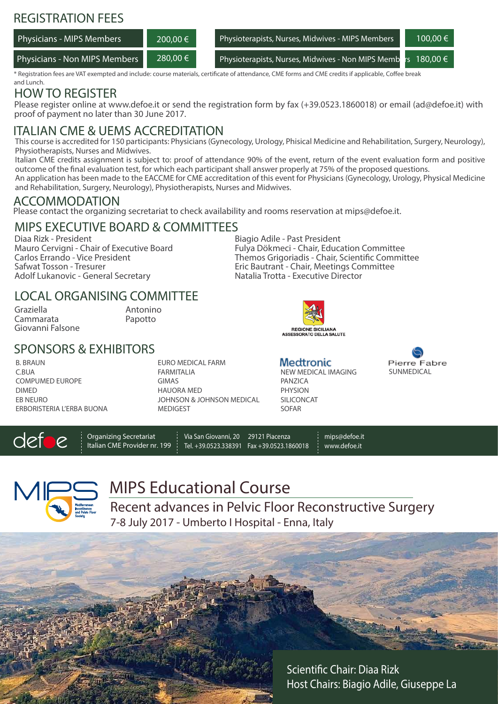## REGISTRATION FEES

| <b>Physicians - MIPS Members</b> | 200.00 € | Physioterapists, Nurses, Midwives - MIPS Members  | $100,00 \in$ \  |
|----------------------------------|----------|---------------------------------------------------|-----------------|
| Physicians - Non MIPS Members    | 280,00 € | Physioterapists, Nurses, Midwives - Non MIPS Memb | 180.00 €<br>rs. |

\* Registration fees are VAT exempted and include: course materials, certificate of attendance, CME forms and CME credits if applicable, Coffee break and Lunch.

# HOW TO REGISTER

Please register online at www.defoe.it or send the registration form by fax (+39.0523.1860018) or email (ad@defoe.it) with proof of payment no later than 30 June 2017.

### ITALIAN CME & UEMS ACCREDITATION

This course is accredited for 150 participants: Physicians (Gynecology, Urology, Phisical Medicine and Rehabilitation, Surgery, Neurology), Physiotherapists, Nurses and Midwives.

Italian CME credits assignment is subject to: proof of attendance 90% of the event, return of the event evaluation form and positive outcome of the final evaluation test, for which each participant shall answer properly at 75% of the proposed questions.

An application has been made to the EACCME for CME accreditation of this event for Physicians (Gynecology, Urology, Physical Medicine and Rehabilitation, Surgery, Neurology), Physiotherapists, Nurses and Midwives.

### ACCOMMODATION

Please contact the organizing secretariat to check availability and rooms reservation at mips@defoe.it.

#### Biagio Adile - Past President MIPS EXECUTIVE BOARD & COMMITTEES

Diaa Rizk - President Mauro Cervigni - Chair of Executive Board Carlos Errando - Vice President Safwat Tosson - Tresurer Adolf Lukanovic - General Secretary

### LOCAL ORGANISING COMMITTEE

Graziella Cammarata Giovanni Falsone Antonino Papotto

### SPONSORS & EXHIBITORS

B. BRAUN C.BUA COMPUMED EUROPE DIMED EB NEURO ERBORISTERIA L'ERBA BUONA EURO MEDICAL FARM FARMITALIA GIMAS HAUORA MED JOHNSON & JOHNSON MEDICAL **MEDIGEST** 

Fulya Dökmeci - Chair, Education Committee Themos Grigoriadis - Chair, Scientific Committee Eric Bautrant - Chair, Meetings Committee Natalia Trotta - Executive Director



NEW MEDICAL IMAGING

**Medtronic** 

**PANZICA** PHYSION SILICONCAT SOFAR

Pierre Eabre SUNMEDICAL

det

Organizing Secretariat Italian CME Provider nr. 199

Via San Giovanni, 20 29121 Piacenza Tel. +39.0523.338391 Fax +39.0523.1860018

mips@defoe.it

www.defoe.it



MIPS Educational Course

Recent advances in Pelvic Floor Reconstructive Surgery 7-8 July 2017 - Umberto I Hospital - Enna, Italy

> Scientific Chair: Diaa Rizk Host Chairs: Biagio Adile, Giuseppe La